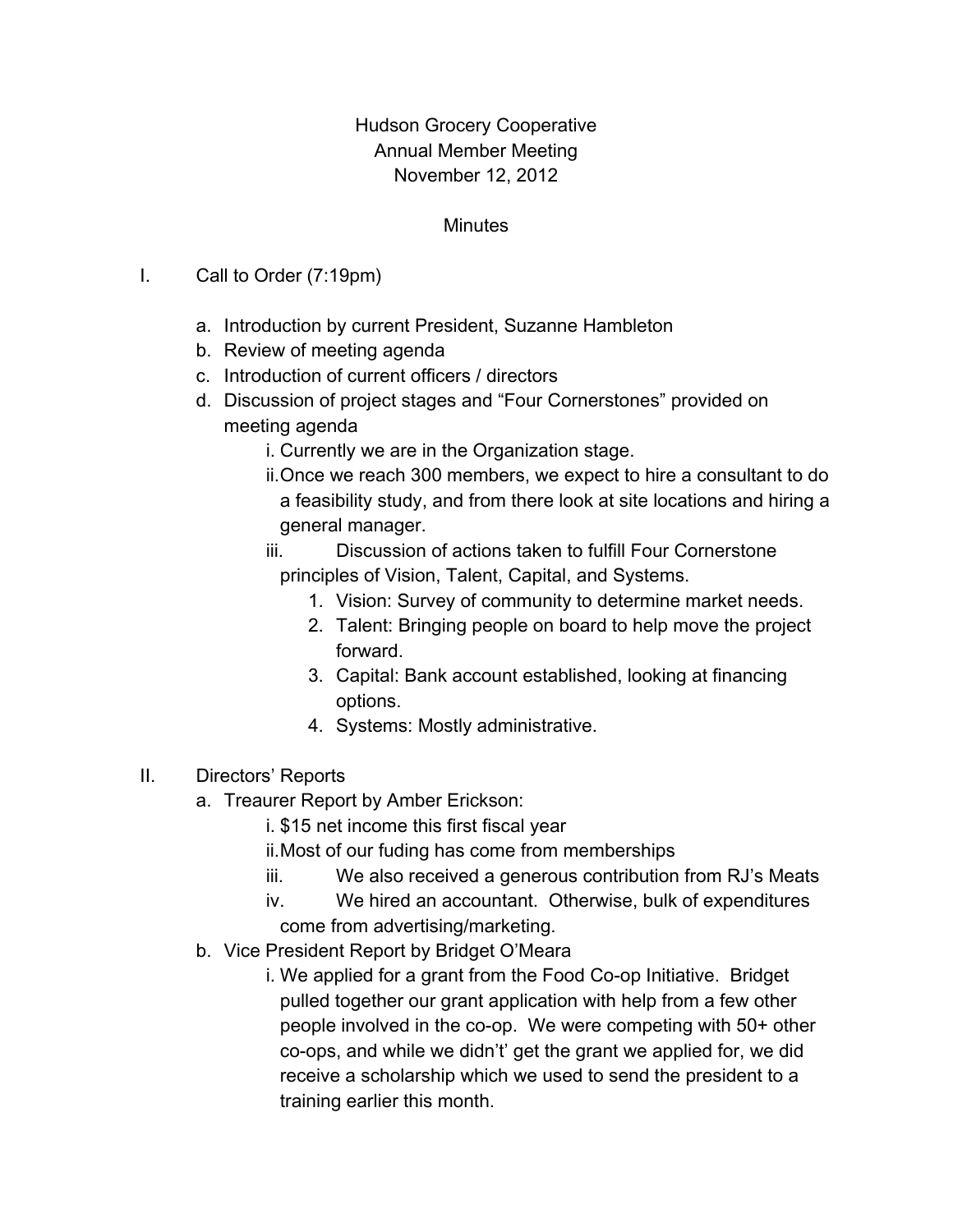## Hudson Grocery Cooperative Annual Member Meeting November 12, 2012

## **Minutes**

- I. Call to Order (7:19pm)
	- a. Introduction by current President, Suzanne Hambleton
	- b. Review of meeting agenda
	- c. Introduction of current officers / directors
	- d. Discussion of project stages and "Four Cornerstones" provided on meeting agenda
		- i. Currently we are in the Organization stage.
		- ii.Once we reach 300 members, we expect to hire a consultant to do a feasibility study, and from there look at site locations and hiring a general manager.
		- iii. Discussion of actions taken to fulfill Four Cornerstone principles of Vision, Talent, Capital, and Systems.
			- 1. Vision: Survey of community to determine market needs.
			- 2. Talent: Bringing people on board to help move the project forward.
			- 3. Capital: Bank account established, looking at financing options.
			- 4. Systems: Mostly administrative.
- II. Directors' Reports
	- a. Treaurer Report by Amber Erickson:
		- i. \$15 net income this first fiscal year
		- ii.Most of our fuding has come from memberships
		- iii. We also received a generous contribution from RJ's Meats
		- iv. We hired an accountant. Otherwise, bulk of expenditures come from advertising/marketing.
	- b. Vice President Report by Bridget O'Meara
		- i. We applied for a grant from the Food Co-op Initiative. Bridget pulled together our grant application with help from a few other people involved in the co-op. We were competing with 50+ other co-ops, and while we didn't' get the grant we applied for, we did receive a scholarship which we used to send the president to a training earlier this month.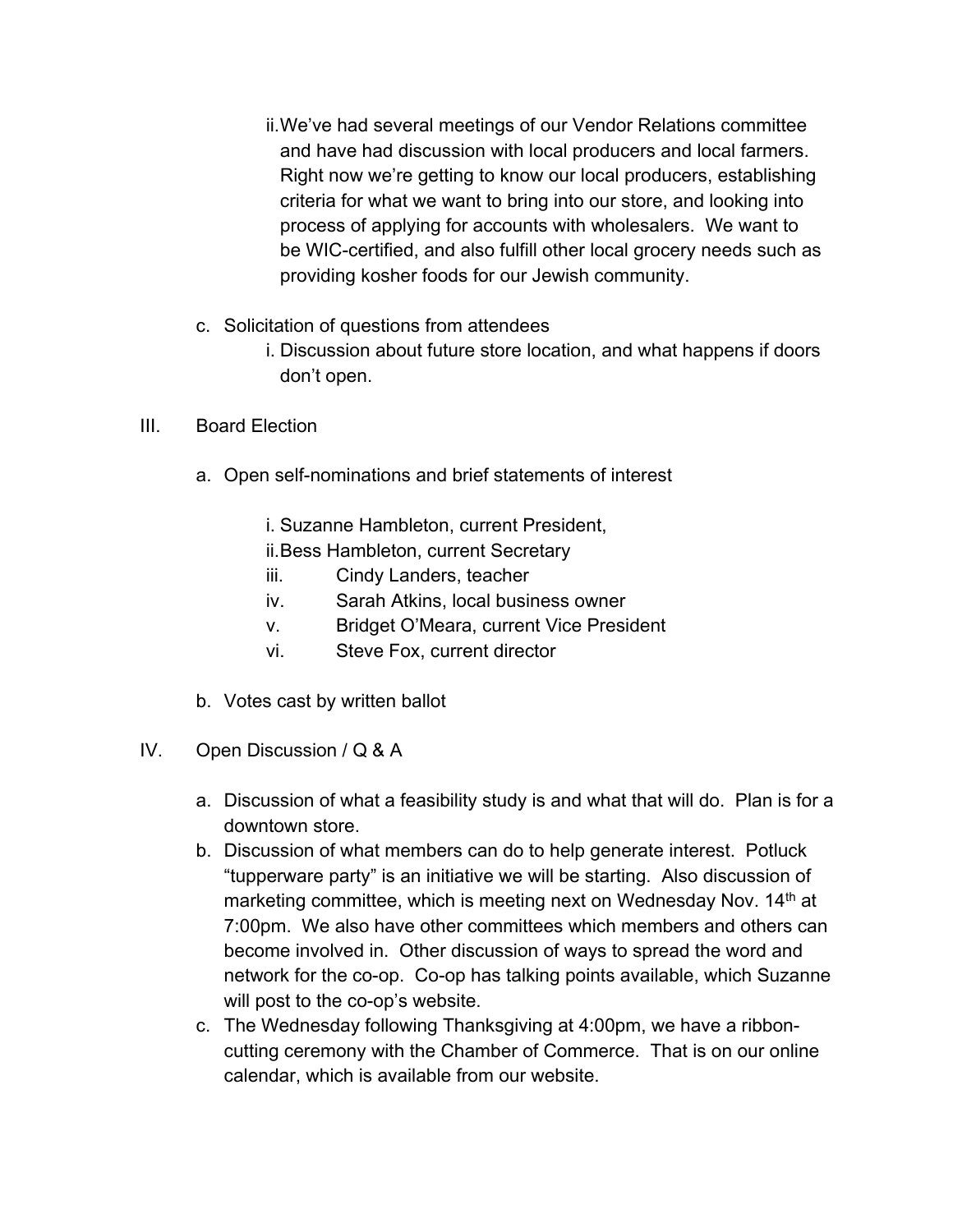- ii.We've had several meetings of our Vendor Relations committee and have had discussion with local producers and local farmers. Right now we're getting to know our local producers, establishing criteria for what we want to bring into our store, and looking into process of applying for accounts with wholesalers. We want to be WIC-certified, and also fulfill other local grocery needs such as providing kosher foods for our Jewish community.
- c. Solicitation of questions from attendees
	- i. Discussion about future store location, and what happens if doors don't open.
- III. Board Election
	- a. Open self-nominations and brief statements of interest
		- i. Suzanne Hambleton, current President,
		- ii.Bess Hambleton, current Secretary
		- iii. Cindy Landers, teacher
		- iv. Sarah Atkins, local business owner
		- v. Bridget O'Meara, current Vice President
		- vi. Steve Fox, current director
	- b. Votes cast by written ballot
- IV. Open Discussion / Q & A
	- a. Discussion of what a feasibility study is and what that will do. Plan is for a downtown store.
	- b. Discussion of what members can do to help generate interest. Potluck "tupperware party" is an initiative we will be starting. Also discussion of marketing committee, which is meeting next on Wednesday Nov. 14<sup>th</sup> at 7:00pm. We also have other committees which members and others can become involved in. Other discussion of ways to spread the word and network for the co-op. Co-op has talking points available, which Suzanne will post to the co-op's website.
	- c. The Wednesday following Thanksgiving at 4:00pm, we have a ribboncutting ceremony with the Chamber of Commerce. That is on our online calendar, which is available from our website.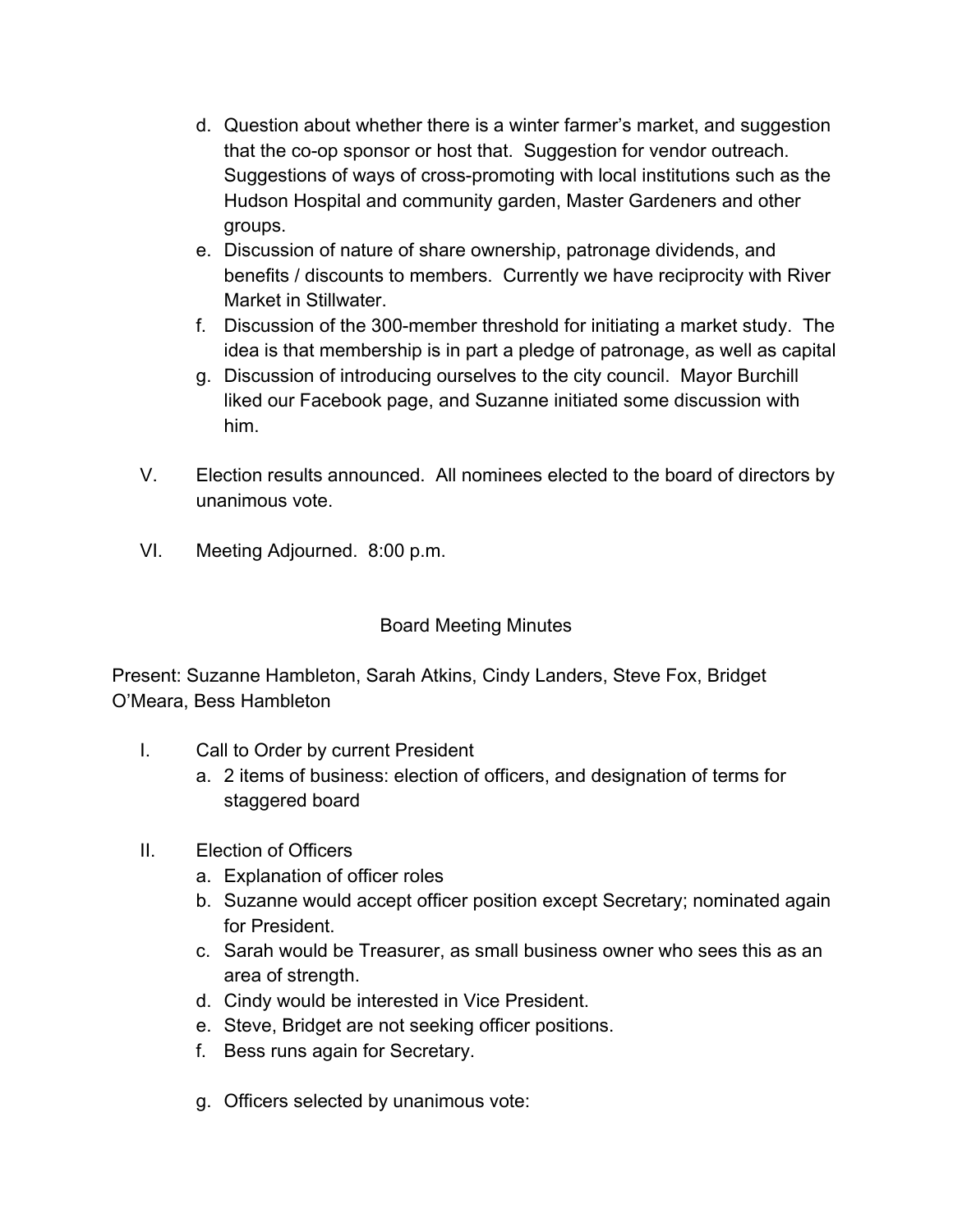- d. Question about whether there is a winter farmer's market, and suggestion that the co-op sponsor or host that. Suggestion for vendor outreach. Suggestions of ways of cross-promoting with local institutions such as the Hudson Hospital and community garden, Master Gardeners and other groups.
- e. Discussion of nature of share ownership, patronage dividends, and benefits / discounts to members. Currently we have reciprocity with River Market in Stillwater.
- f. Discussion of the 300-member threshold for initiating a market study. The idea is that membership is in part a pledge of patronage, as well as capital
- g. Discussion of introducing ourselves to the city council. Mayor Burchill liked our Facebook page, and Suzanne initiated some discussion with him.
- V. Election results announced. All nominees elected to the board of directors by unanimous vote.
- VI. Meeting Adjourned. 8:00 p.m.

## Board Meeting Minutes

Present: Suzanne Hambleton, Sarah Atkins, Cindy Landers, Steve Fox, Bridget O'Meara, Bess Hambleton

- I. Call to Order by current President
	- a. 2 items of business: election of officers, and designation of terms for staggered board
- II. Election of Officers
	- a. Explanation of officer roles
	- b. Suzanne would accept officer position except Secretary; nominated again for President.
	- c. Sarah would be Treasurer, as small business owner who sees this as an area of strength.
	- d. Cindy would be interested in Vice President.
	- e. Steve, Bridget are not seeking officer positions.
	- f. Bess runs again for Secretary.
	- g. Officers selected by unanimous vote: